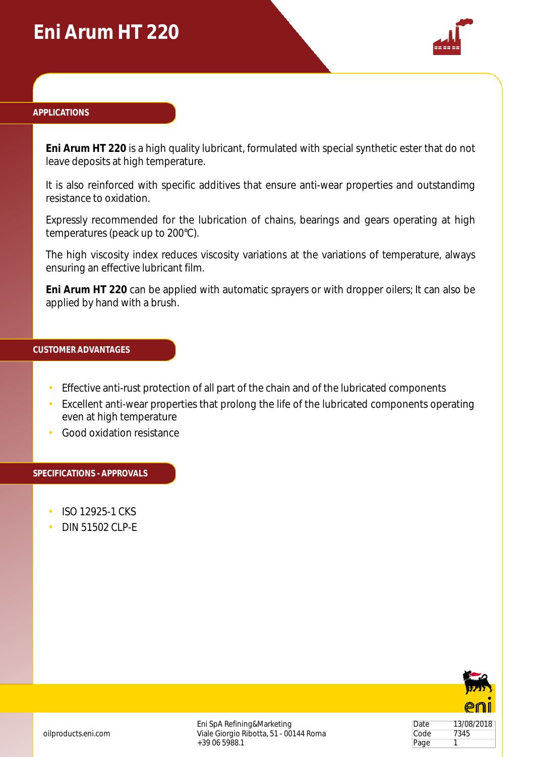## **Eni Arum HT 220**



### **APPLICATIONS**

**Eni Arum HT 220** is a high quality lubricant, formulated with special synthetic ester that do not leave deposits at high temperature.

It is also reinforced with specific additives that ensure anti-wear properties and outstandimg resistance to oxidation.

Expressly recommended for the lubrication of chains, bearings and gears operating at high temperatures (peack up to 200°C).

The high viscosity index reduces viscosity variations at the variations of temperature, always ensuring an effective lubricant film.

**Eni Arum HT 220** can be applied with automatic sprayers or with dropper oilers; It can also be applied by hand with a brush.

## **CUSTOMER ADVANTAGES**

- Effective anti-rust protection of all part of the chain and of the lubricated components
- Excellent anti-wear properties that prolong the life of the lubricated components operating even at high temperature
- Good oxidation resistance

#### **SPECIFICATIONS - APPROVALS**

- ISO 12925-1 CKS
- DIN 51502 CLP-E



Date 13/08/2018 Code 7345 Page 1

Eni SpA Refining&Marketing Viale Giorgio Ribotta, 51 - 00144 Roma +39 06 5988.1